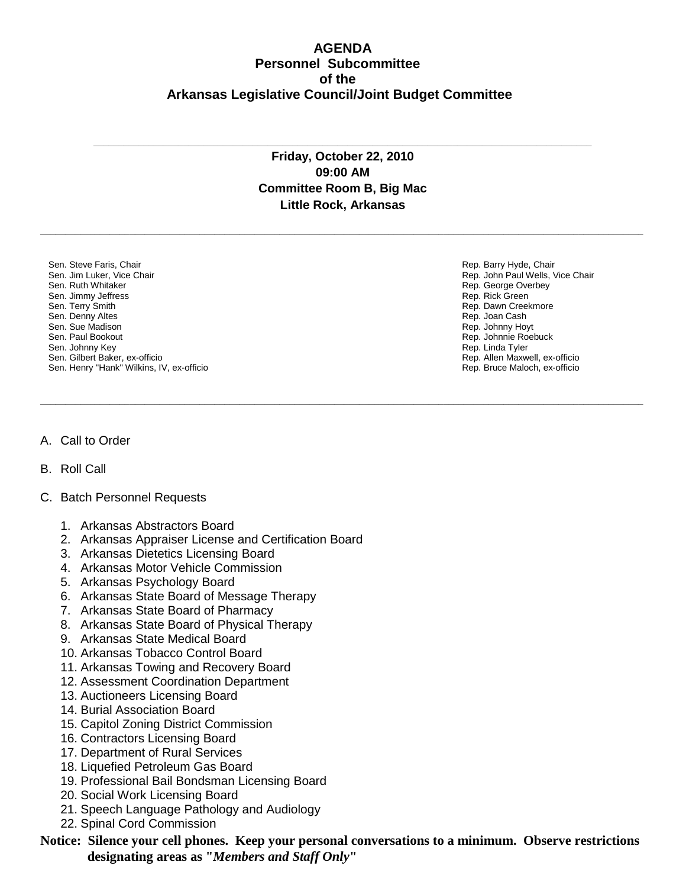## **AGENDA Personnel Subcommittee of the Arkansas Legislative Council/Joint Budget Committee**

## **Friday, October 22, 2010 09:00 AM Committee Room B, Big Mac Little Rock, Arkansas**

**\_\_\_\_\_\_\_\_\_\_\_\_\_\_\_\_\_\_\_\_\_\_\_\_\_\_\_\_\_\_\_\_\_\_\_\_\_\_\_\_\_\_\_\_\_\_\_\_\_\_\_\_\_\_\_\_\_\_\_\_\_\_\_\_\_\_\_\_\_\_\_\_\_\_\_\_\_\_\_\_\_\_\_\_\_\_\_\_\_\_\_\_\_\_\_\_\_\_\_\_\_\_\_\_\_\_\_\_\_\_\_\_\_\_\_\_\_\_\_\_\_**

**\_\_\_\_\_\_\_\_\_\_\_\_\_\_\_\_\_\_\_\_\_\_\_\_\_\_\_\_\_\_\_\_\_\_\_\_\_\_\_\_\_\_\_\_\_\_\_\_\_\_\_\_\_\_\_\_\_\_\_\_\_\_\_\_\_\_\_\_\_\_\_\_\_\_\_\_\_\_\_\_\_\_\_\_\_\_\_\_\_\_\_\_\_\_\_\_\_\_\_\_\_\_\_\_\_\_\_\_\_\_\_\_\_\_\_\_\_\_\_\_\_**

**\_\_\_\_\_\_\_\_\_\_\_\_\_\_\_\_\_\_\_\_\_\_\_\_\_\_\_\_\_\_\_\_\_\_\_\_\_\_\_\_\_\_\_\_\_\_\_\_\_\_\_\_\_\_\_\_\_\_\_\_\_\_\_\_\_\_\_\_\_\_\_\_\_\_\_\_\_\_\_\_\_\_\_\_\_\_\_\_\_\_\_\_\_\_\_\_\_\_\_\_**

Sen. Steve Faris, Chair Sen. Jim Luker, Vice Chair Sen. Ruth Whitaker Sen. Jimmy Jeffress Sen. Terry Smith Sen. Denny Altes Sen. Sue Madison Sen. Paul Bookout Sen. Johnny Key Sen. Gilbert Baker, ex-officio Sen. Henry "Hank" Wilkins, IV, ex-officio Rep. Barry Hyde, Chair Rep. John Paul Wells, Vice Chair Rep. George Overbey Rep. Rick Green Rep. Dawn Creekmore Rep. Joan Cash Rep. Johnny Hoyt Rep. Johnnie Roebuck Rep. Linda Tyler Rep. Allen Maxwell, ex-officio Rep. Bruce Maloch, ex-officio

## A. Call to Order

B. Roll Call

## C. Batch Personnel Requests

- 1. Arkansas Abstractors Board
- 2. Arkansas Appraiser License and Certification Board
- 3. Arkansas Dietetics Licensing Board
- 4. Arkansas Motor Vehicle Commission
- 5. Arkansas Psychology Board
- 6. Arkansas State Board of Message Therapy
- 7. Arkansas State Board of Pharmacy
- 8. Arkansas State Board of Physical Therapy
- 9. Arkansas State Medical Board
- 10. Arkansas Tobacco Control Board
- 11. Arkansas Towing and Recovery Board
- 12. Assessment Coordination Department
- 13. Auctioneers Licensing Board
- 14. Burial Association Board
- 15. Capitol Zoning District Commission
- 16. Contractors Licensing Board
- 17. Department of Rural Services
- 18. Liquefied Petroleum Gas Board
- 19. Professional Bail Bondsman Licensing Board
- 20. Social Work Licensing Board
- 21. Speech Language Pathology and Audiology
- 22. Spinal Cord Commission

**Notice: Silence your cell phones. Keep your personal conversations to a minimum. Observe restrictions designating areas as "***Members and Staff Only***"**